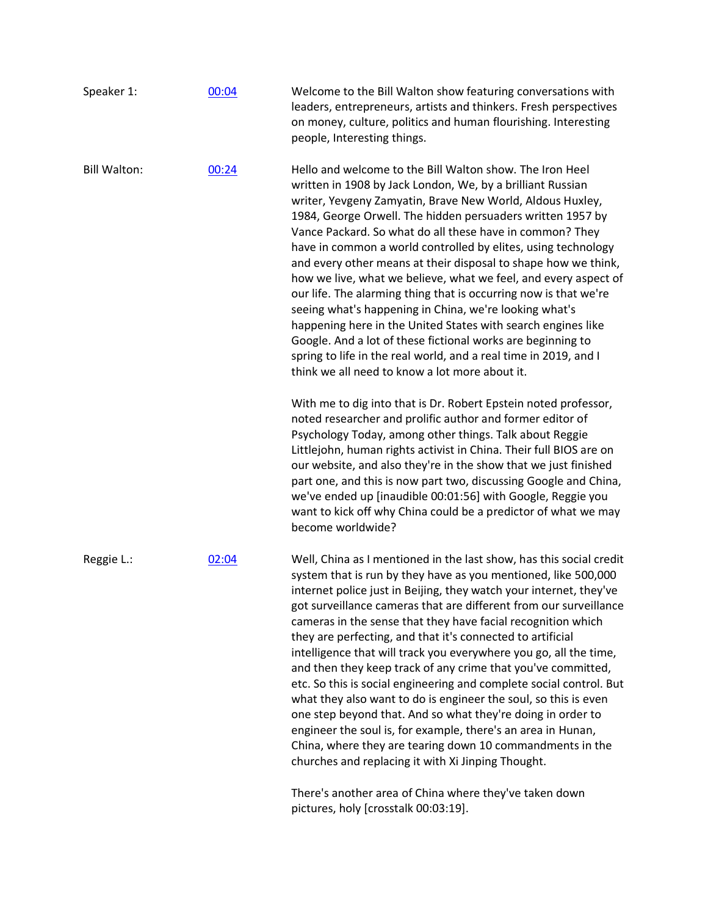| Speaker 1:          | 00:04 | Welcome to the Bill Walton show featuring conversations with<br>leaders, entrepreneurs, artists and thinkers. Fresh perspectives<br>on money, culture, politics and human flourishing. Interesting<br>people, Interesting things.                                                                                                                                                                                                                                                                                                                                                                                                                                                                                                                                                                                                                                                                                                               |
|---------------------|-------|-------------------------------------------------------------------------------------------------------------------------------------------------------------------------------------------------------------------------------------------------------------------------------------------------------------------------------------------------------------------------------------------------------------------------------------------------------------------------------------------------------------------------------------------------------------------------------------------------------------------------------------------------------------------------------------------------------------------------------------------------------------------------------------------------------------------------------------------------------------------------------------------------------------------------------------------------|
| <b>Bill Walton:</b> | 00:24 | Hello and welcome to the Bill Walton show. The Iron Heel<br>written in 1908 by Jack London, We, by a brilliant Russian<br>writer, Yevgeny Zamyatin, Brave New World, Aldous Huxley,<br>1984, George Orwell. The hidden persuaders written 1957 by<br>Vance Packard. So what do all these have in common? They<br>have in common a world controlled by elites, using technology<br>and every other means at their disposal to shape how we think,<br>how we live, what we believe, what we feel, and every aspect of<br>our life. The alarming thing that is occurring now is that we're<br>seeing what's happening in China, we're looking what's<br>happening here in the United States with search engines like<br>Google. And a lot of these fictional works are beginning to<br>spring to life in the real world, and a real time in 2019, and I<br>think we all need to know a lot more about it.                                          |
|                     |       | With me to dig into that is Dr. Robert Epstein noted professor,<br>noted researcher and prolific author and former editor of<br>Psychology Today, among other things. Talk about Reggie<br>Littlejohn, human rights activist in China. Their full BIOS are on<br>our website, and also they're in the show that we just finished<br>part one, and this is now part two, discussing Google and China,<br>we've ended up [inaudible 00:01:56] with Google, Reggie you<br>want to kick off why China could be a predictor of what we may<br>become worldwide?                                                                                                                                                                                                                                                                                                                                                                                      |
| Reggie L.:          | 02:04 | Well, China as I mentioned in the last show, has this social credit<br>system that is run by they have as you mentioned, like 500,000<br>internet police just in Beijing, they watch your internet, they've<br>got surveillance cameras that are different from our surveillance<br>cameras in the sense that they have facial recognition which<br>they are perfecting, and that it's connected to artificial<br>intelligence that will track you everywhere you go, all the time,<br>and then they keep track of any crime that you've committed,<br>etc. So this is social engineering and complete social control. But<br>what they also want to do is engineer the soul, so this is even<br>one step beyond that. And so what they're doing in order to<br>engineer the soul is, for example, there's an area in Hunan,<br>China, where they are tearing down 10 commandments in the<br>churches and replacing it with Xi Jinping Thought. |
|                     |       | There's another area of China where they've taken down<br>pictures, holy [crosstalk 00:03:19].                                                                                                                                                                                                                                                                                                                                                                                                                                                                                                                                                                                                                                                                                                                                                                                                                                                  |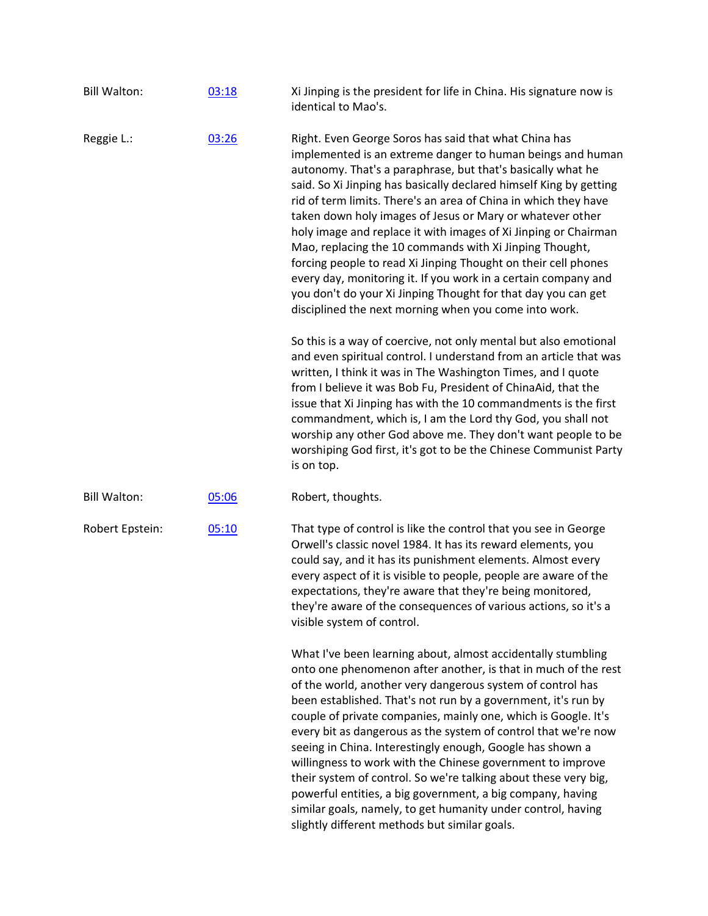| <b>Bill Walton:</b> | 03:18 | Xi Jinping is the president for life in China. His signature now is<br>identical to Mao's.                                                                                                                                                                                                                                                                                                                                                                                                                                                                                                                                                                                                                                                                                           |
|---------------------|-------|--------------------------------------------------------------------------------------------------------------------------------------------------------------------------------------------------------------------------------------------------------------------------------------------------------------------------------------------------------------------------------------------------------------------------------------------------------------------------------------------------------------------------------------------------------------------------------------------------------------------------------------------------------------------------------------------------------------------------------------------------------------------------------------|
| Reggie L.:          | 03:26 | Right. Even George Soros has said that what China has<br>implemented is an extreme danger to human beings and human<br>autonomy. That's a paraphrase, but that's basically what he<br>said. So Xi Jinping has basically declared himself King by getting<br>rid of term limits. There's an area of China in which they have<br>taken down holy images of Jesus or Mary or whatever other<br>holy image and replace it with images of Xi Jinping or Chairman<br>Mao, replacing the 10 commands with Xi Jinping Thought,<br>forcing people to read Xi Jinping Thought on their cell phones<br>every day, monitoring it. If you work in a certain company and<br>you don't do your Xi Jinping Thought for that day you can get<br>disciplined the next morning when you come into work. |
|                     |       | So this is a way of coercive, not only mental but also emotional<br>and even spiritual control. I understand from an article that was<br>written, I think it was in The Washington Times, and I quote<br>from I believe it was Bob Fu, President of ChinaAid, that the<br>issue that Xi Jinping has with the 10 commandments is the first<br>commandment, which is, I am the Lord thy God, you shall not<br>worship any other God above me. They don't want people to be<br>worshiping God first, it's got to be the Chinese Communist Party<br>is on top.                                                                                                                                                                                                                           |
| <b>Bill Walton:</b> | 05:06 | Robert, thoughts.                                                                                                                                                                                                                                                                                                                                                                                                                                                                                                                                                                                                                                                                                                                                                                    |
| Robert Epstein:     | 05:10 | That type of control is like the control that you see in George<br>Orwell's classic novel 1984. It has its reward elements, you<br>could say, and it has its punishment elements. Almost every<br>every aspect of it is visible to people, people are aware of the<br>expectations, they're aware that they're being monitored,<br>they're aware of the consequences of various actions, so it's a<br>visible system of control.                                                                                                                                                                                                                                                                                                                                                     |
|                     |       | What I've been learning about, almost accidentally stumbling<br>onto one phenomenon after another, is that in much of the rest<br>of the world, another very dangerous system of control has<br>been established. That's not run by a government, it's run by<br>couple of private companies, mainly one, which is Google. It's<br>every bit as dangerous as the system of control that we're now<br>seeing in China. Interestingly enough, Google has shown a<br>willingness to work with the Chinese government to improve<br>their system of control. So we're talking about these very big,<br>powerful entities, a big government, a big company, having<br>similar goals, namely, to get humanity under control, having<br>slightly different methods but similar goals.       |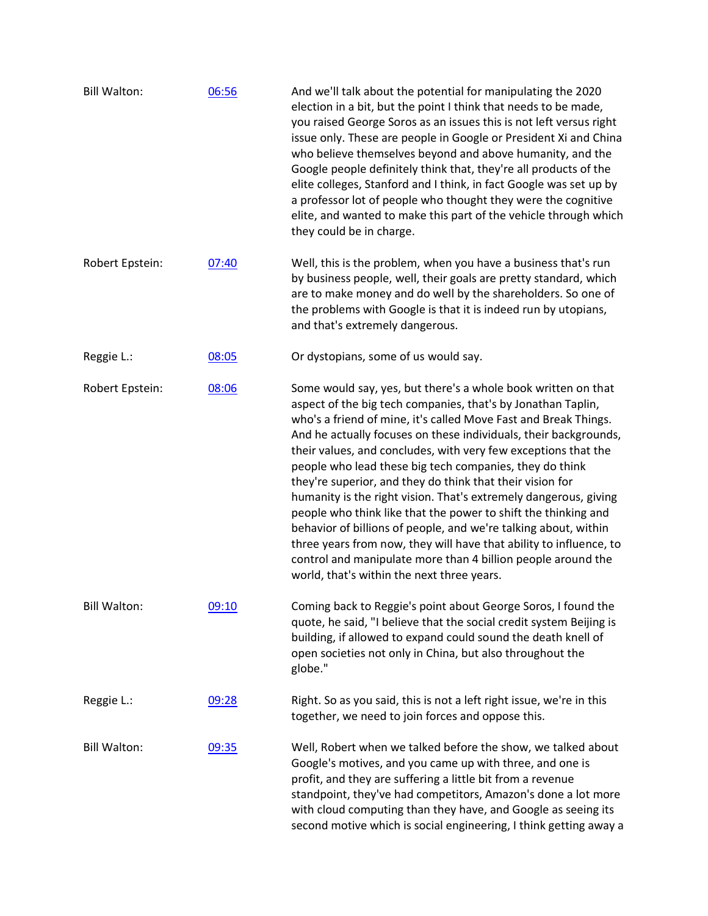| <b>Bill Walton:</b> | 06:56 | And we'll talk about the potential for manipulating the 2020<br>election in a bit, but the point I think that needs to be made,<br>you raised George Soros as an issues this is not left versus right<br>issue only. These are people in Google or President Xi and China<br>who believe themselves beyond and above humanity, and the<br>Google people definitely think that, they're all products of the<br>elite colleges, Stanford and I think, in fact Google was set up by<br>a professor lot of people who thought they were the cognitive<br>elite, and wanted to make this part of the vehicle through which<br>they could be in charge.                                                                                                                                                                                                           |
|---------------------|-------|-------------------------------------------------------------------------------------------------------------------------------------------------------------------------------------------------------------------------------------------------------------------------------------------------------------------------------------------------------------------------------------------------------------------------------------------------------------------------------------------------------------------------------------------------------------------------------------------------------------------------------------------------------------------------------------------------------------------------------------------------------------------------------------------------------------------------------------------------------------|
| Robert Epstein:     | 07:40 | Well, this is the problem, when you have a business that's run<br>by business people, well, their goals are pretty standard, which<br>are to make money and do well by the shareholders. So one of<br>the problems with Google is that it is indeed run by utopians,<br>and that's extremely dangerous.                                                                                                                                                                                                                                                                                                                                                                                                                                                                                                                                                     |
| Reggie L.:          | 08:05 | Or dystopians, some of us would say.                                                                                                                                                                                                                                                                                                                                                                                                                                                                                                                                                                                                                                                                                                                                                                                                                        |
| Robert Epstein:     | 08:06 | Some would say, yes, but there's a whole book written on that<br>aspect of the big tech companies, that's by Jonathan Taplin,<br>who's a friend of mine, it's called Move Fast and Break Things.<br>And he actually focuses on these individuals, their backgrounds,<br>their values, and concludes, with very few exceptions that the<br>people who lead these big tech companies, they do think<br>they're superior, and they do think that their vision for<br>humanity is the right vision. That's extremely dangerous, giving<br>people who think like that the power to shift the thinking and<br>behavior of billions of people, and we're talking about, within<br>three years from now, they will have that ability to influence, to<br>control and manipulate more than 4 billion people around the<br>world, that's within the next three years. |
| <b>Bill Walton:</b> | 09:10 | Coming back to Reggie's point about George Soros, I found the<br>quote, he said, "I believe that the social credit system Beijing is<br>building, if allowed to expand could sound the death knell of<br>open societies not only in China, but also throughout the<br>globe."                                                                                                                                                                                                                                                                                                                                                                                                                                                                                                                                                                               |
| Reggie L.:          | 09:28 | Right. So as you said, this is not a left right issue, we're in this<br>together, we need to join forces and oppose this.                                                                                                                                                                                                                                                                                                                                                                                                                                                                                                                                                                                                                                                                                                                                   |
| <b>Bill Walton:</b> | 09:35 | Well, Robert when we talked before the show, we talked about<br>Google's motives, and you came up with three, and one is<br>profit, and they are suffering a little bit from a revenue<br>standpoint, they've had competitors, Amazon's done a lot more<br>with cloud computing than they have, and Google as seeing its<br>second motive which is social engineering, I think getting away a                                                                                                                                                                                                                                                                                                                                                                                                                                                               |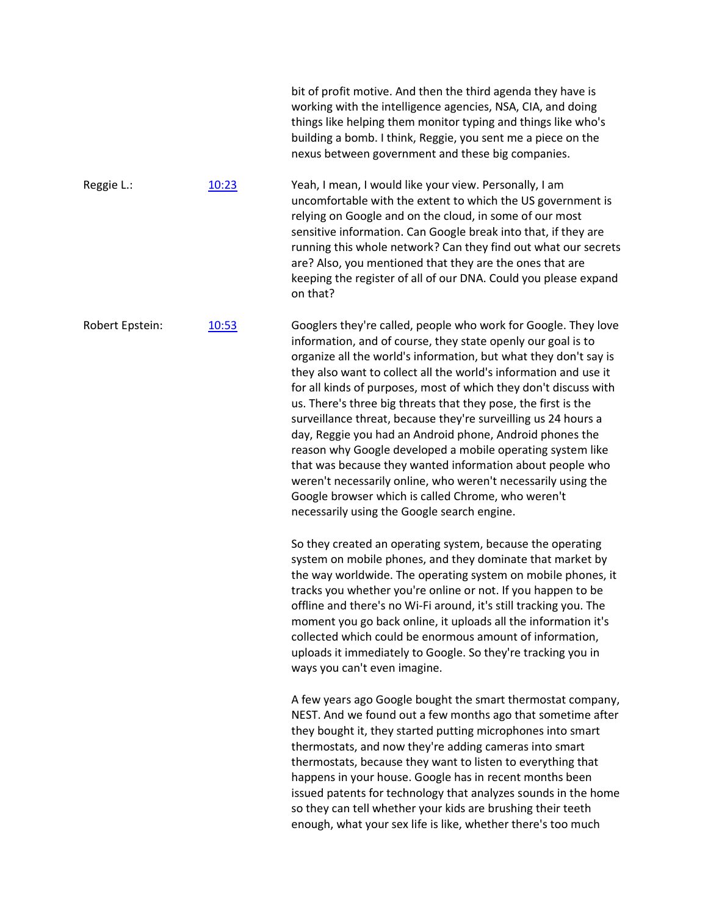|                 |       | bit of profit motive. And then the third agenda they have is<br>working with the intelligence agencies, NSA, CIA, and doing<br>things like helping them monitor typing and things like who's<br>building a bomb. I think, Reggie, you sent me a piece on the<br>nexus between government and these big companies.                                                                                                                                                                                                                                                                                                                                                                                                                                                                                                                           |
|-----------------|-------|---------------------------------------------------------------------------------------------------------------------------------------------------------------------------------------------------------------------------------------------------------------------------------------------------------------------------------------------------------------------------------------------------------------------------------------------------------------------------------------------------------------------------------------------------------------------------------------------------------------------------------------------------------------------------------------------------------------------------------------------------------------------------------------------------------------------------------------------|
| Reggie L.:      | 10:23 | Yeah, I mean, I would like your view. Personally, I am<br>uncomfortable with the extent to which the US government is<br>relying on Google and on the cloud, in some of our most<br>sensitive information. Can Google break into that, if they are<br>running this whole network? Can they find out what our secrets<br>are? Also, you mentioned that they are the ones that are<br>keeping the register of all of our DNA. Could you please expand<br>on that?                                                                                                                                                                                                                                                                                                                                                                             |
| Robert Epstein: | 10:53 | Googlers they're called, people who work for Google. They love<br>information, and of course, they state openly our goal is to<br>organize all the world's information, but what they don't say is<br>they also want to collect all the world's information and use it<br>for all kinds of purposes, most of which they don't discuss with<br>us. There's three big threats that they pose, the first is the<br>surveillance threat, because they're surveilling us 24 hours a<br>day, Reggie you had an Android phone, Android phones the<br>reason why Google developed a mobile operating system like<br>that was because they wanted information about people who<br>weren't necessarily online, who weren't necessarily using the<br>Google browser which is called Chrome, who weren't<br>necessarily using the Google search engine. |
|                 |       | So they created an operating system, because the operating<br>system on mobile phones, and they dominate that market by<br>the way worldwide. The operating system on mobile phones, it<br>tracks you whether you're online or not. If you happen to be<br>offline and there's no Wi-Fi around, it's still tracking you. The<br>moment you go back online, it uploads all the information it's<br>collected which could be enormous amount of information,<br>uploads it immediately to Google. So they're tracking you in<br>ways you can't even imagine.                                                                                                                                                                                                                                                                                  |
|                 |       | A few years ago Google bought the smart thermostat company,<br>NEST. And we found out a few months ago that sometime after<br>they bought it, they started putting microphones into smart<br>thermostats, and now they're adding cameras into smart<br>thermostats, because they want to listen to everything that<br>happens in your house. Google has in recent months been<br>issued patents for technology that analyzes sounds in the home<br>so they can tell whether your kids are brushing their teeth<br>enough, what your sex life is like, whether there's too much                                                                                                                                                                                                                                                              |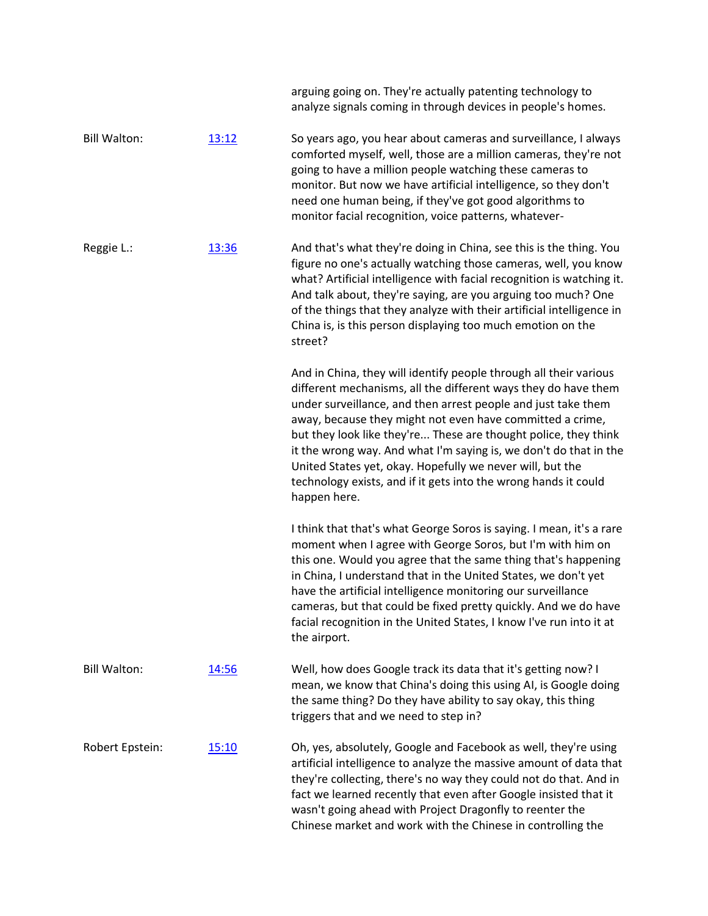|                     |       | arguing going on. They're actually patenting technology to<br>analyze signals coming in through devices in people's homes.                                                                                                                                                                                                                                                                                                                                                                                                                                |
|---------------------|-------|-----------------------------------------------------------------------------------------------------------------------------------------------------------------------------------------------------------------------------------------------------------------------------------------------------------------------------------------------------------------------------------------------------------------------------------------------------------------------------------------------------------------------------------------------------------|
| <b>Bill Walton:</b> | 13:12 | So years ago, you hear about cameras and surveillance, I always<br>comforted myself, well, those are a million cameras, they're not<br>going to have a million people watching these cameras to<br>monitor. But now we have artificial intelligence, so they don't<br>need one human being, if they've got good algorithms to<br>monitor facial recognition, voice patterns, whatever-                                                                                                                                                                    |
| Reggie L.:          | 13:36 | And that's what they're doing in China, see this is the thing. You<br>figure no one's actually watching those cameras, well, you know<br>what? Artificial intelligence with facial recognition is watching it.<br>And talk about, they're saying, are you arguing too much? One<br>of the things that they analyze with their artificial intelligence in<br>China is, is this person displaying too much emotion on the<br>street?                                                                                                                        |
|                     |       | And in China, they will identify people through all their various<br>different mechanisms, all the different ways they do have them<br>under surveillance, and then arrest people and just take them<br>away, because they might not even have committed a crime,<br>but they look like they're These are thought police, they think<br>it the wrong way. And what I'm saying is, we don't do that in the<br>United States yet, okay. Hopefully we never will, but the<br>technology exists, and if it gets into the wrong hands it could<br>happen here. |
|                     |       | I think that that's what George Soros is saying. I mean, it's a rare<br>moment when I agree with George Soros, but I'm with him on<br>this one. Would you agree that the same thing that's happening<br>in China, I understand that in the United States, we don't yet<br>have the artificial intelligence monitoring our surveillance<br>cameras, but that could be fixed pretty quickly. And we do have<br>facial recognition in the United States, I know I've run into it at<br>the airport.                                                          |
| <b>Bill Walton:</b> | 14:56 | Well, how does Google track its data that it's getting now? I<br>mean, we know that China's doing this using AI, is Google doing<br>the same thing? Do they have ability to say okay, this thing<br>triggers that and we need to step in?                                                                                                                                                                                                                                                                                                                 |
| Robert Epstein:     | 15:10 | Oh, yes, absolutely, Google and Facebook as well, they're using<br>artificial intelligence to analyze the massive amount of data that<br>they're collecting, there's no way they could not do that. And in<br>fact we learned recently that even after Google insisted that it<br>wasn't going ahead with Project Dragonfly to reenter the<br>Chinese market and work with the Chinese in controlling the                                                                                                                                                 |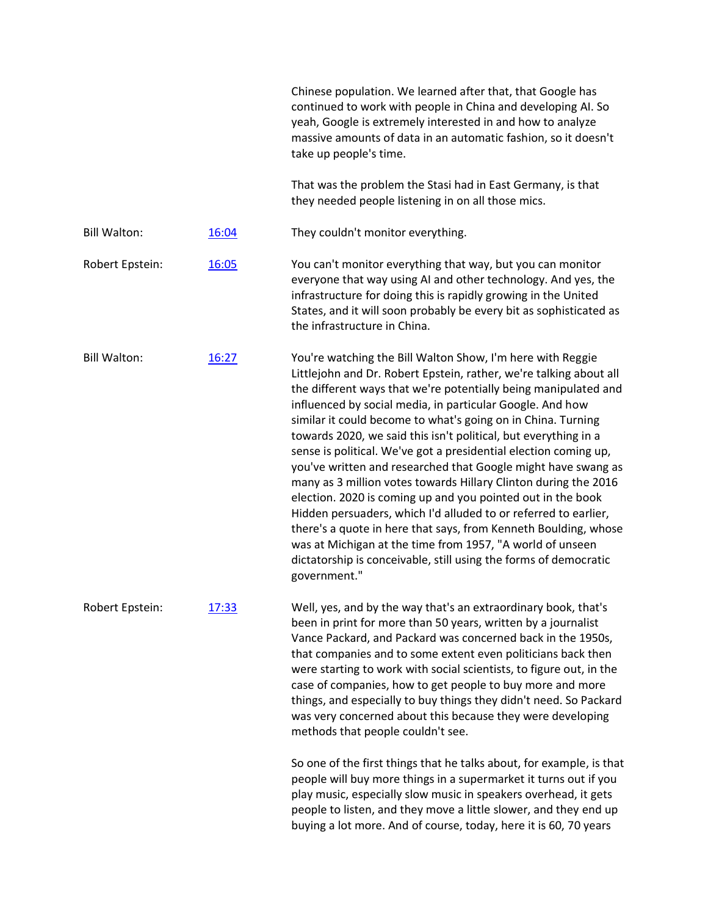|                     |       | Chinese population. We learned after that, that Google has<br>continued to work with people in China and developing AI. So<br>yeah, Google is extremely interested in and how to analyze<br>massive amounts of data in an automatic fashion, so it doesn't<br>take up people's time.                                                                                                                                                                                                                                                                                                                                                                                                                                                                                                                                                                                                                                                                              |
|---------------------|-------|-------------------------------------------------------------------------------------------------------------------------------------------------------------------------------------------------------------------------------------------------------------------------------------------------------------------------------------------------------------------------------------------------------------------------------------------------------------------------------------------------------------------------------------------------------------------------------------------------------------------------------------------------------------------------------------------------------------------------------------------------------------------------------------------------------------------------------------------------------------------------------------------------------------------------------------------------------------------|
|                     |       | That was the problem the Stasi had in East Germany, is that<br>they needed people listening in on all those mics.                                                                                                                                                                                                                                                                                                                                                                                                                                                                                                                                                                                                                                                                                                                                                                                                                                                 |
| <b>Bill Walton:</b> | 16:04 | They couldn't monitor everything.                                                                                                                                                                                                                                                                                                                                                                                                                                                                                                                                                                                                                                                                                                                                                                                                                                                                                                                                 |
| Robert Epstein:     | 16:05 | You can't monitor everything that way, but you can monitor<br>everyone that way using AI and other technology. And yes, the<br>infrastructure for doing this is rapidly growing in the United<br>States, and it will soon probably be every bit as sophisticated as<br>the infrastructure in China.                                                                                                                                                                                                                                                                                                                                                                                                                                                                                                                                                                                                                                                               |
| <b>Bill Walton:</b> | 16:27 | You're watching the Bill Walton Show, I'm here with Reggie<br>Littlejohn and Dr. Robert Epstein, rather, we're talking about all<br>the different ways that we're potentially being manipulated and<br>influenced by social media, in particular Google. And how<br>similar it could become to what's going on in China. Turning<br>towards 2020, we said this isn't political, but everything in a<br>sense is political. We've got a presidential election coming up,<br>you've written and researched that Google might have swang as<br>many as 3 million votes towards Hillary Clinton during the 2016<br>election. 2020 is coming up and you pointed out in the book<br>Hidden persuaders, which I'd alluded to or referred to earlier,<br>there's a quote in here that says, from Kenneth Boulding, whose<br>was at Michigan at the time from 1957, "A world of unseen<br>dictatorship is conceivable, still using the forms of democratic<br>government." |
| Robert Epstein:     | 17:33 | Well, yes, and by the way that's an extraordinary book, that's<br>been in print for more than 50 years, written by a journalist<br>Vance Packard, and Packard was concerned back in the 1950s,<br>that companies and to some extent even politicians back then<br>were starting to work with social scientists, to figure out, in the<br>case of companies, how to get people to buy more and more<br>things, and especially to buy things they didn't need. So Packard<br>was very concerned about this because they were developing<br>methods that people couldn't see.                                                                                                                                                                                                                                                                                                                                                                                        |
|                     |       | So one of the first things that he talks about, for example, is that<br>people will buy more things in a supermarket it turns out if you<br>play music, especially slow music in speakers overhead, it gets<br>people to listen, and they move a little slower, and they end up<br>buying a lot more. And of course, today, here it is 60, 70 years                                                                                                                                                                                                                                                                                                                                                                                                                                                                                                                                                                                                               |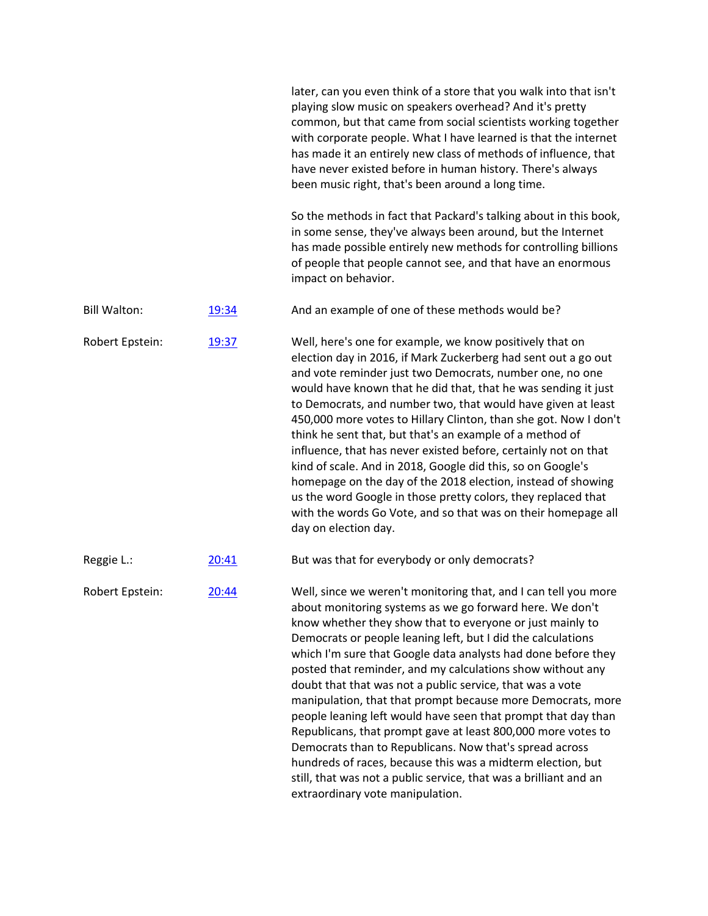|                     |       | later, can you even think of a store that you walk into that isn't<br>playing slow music on speakers overhead? And it's pretty<br>common, but that came from social scientists working together<br>with corporate people. What I have learned is that the internet<br>has made it an entirely new class of methods of influence, that<br>have never existed before in human history. There's always<br>been music right, that's been around a long time.                                                                                                                                                                                                                                                                                                                                                                                                                                |
|---------------------|-------|-----------------------------------------------------------------------------------------------------------------------------------------------------------------------------------------------------------------------------------------------------------------------------------------------------------------------------------------------------------------------------------------------------------------------------------------------------------------------------------------------------------------------------------------------------------------------------------------------------------------------------------------------------------------------------------------------------------------------------------------------------------------------------------------------------------------------------------------------------------------------------------------|
|                     |       | So the methods in fact that Packard's talking about in this book,<br>in some sense, they've always been around, but the Internet<br>has made possible entirely new methods for controlling billions<br>of people that people cannot see, and that have an enormous<br>impact on behavior.                                                                                                                                                                                                                                                                                                                                                                                                                                                                                                                                                                                               |
| <b>Bill Walton:</b> | 19:34 | And an example of one of these methods would be?                                                                                                                                                                                                                                                                                                                                                                                                                                                                                                                                                                                                                                                                                                                                                                                                                                        |
| Robert Epstein:     | 19:37 | Well, here's one for example, we know positively that on<br>election day in 2016, if Mark Zuckerberg had sent out a go out<br>and vote reminder just two Democrats, number one, no one<br>would have known that he did that, that he was sending it just<br>to Democrats, and number two, that would have given at least<br>450,000 more votes to Hillary Clinton, than she got. Now I don't<br>think he sent that, but that's an example of a method of<br>influence, that has never existed before, certainly not on that<br>kind of scale. And in 2018, Google did this, so on Google's<br>homepage on the day of the 2018 election, instead of showing<br>us the word Google in those pretty colors, they replaced that<br>with the words Go Vote, and so that was on their homepage all<br>day on election day.                                                                    |
| Reggie L.:          | 20:41 | But was that for everybody or only democrats?                                                                                                                                                                                                                                                                                                                                                                                                                                                                                                                                                                                                                                                                                                                                                                                                                                           |
| Robert Epstein:     | 20:44 | Well, since we weren't monitoring that, and I can tell you more<br>about monitoring systems as we go forward here. We don't<br>know whether they show that to everyone or just mainly to<br>Democrats or people leaning left, but I did the calculations<br>which I'm sure that Google data analysts had done before they<br>posted that reminder, and my calculations show without any<br>doubt that that was not a public service, that was a vote<br>manipulation, that that prompt because more Democrats, more<br>people leaning left would have seen that prompt that day than<br>Republicans, that prompt gave at least 800,000 more votes to<br>Democrats than to Republicans. Now that's spread across<br>hundreds of races, because this was a midterm election, but<br>still, that was not a public service, that was a brilliant and an<br>extraordinary vote manipulation. |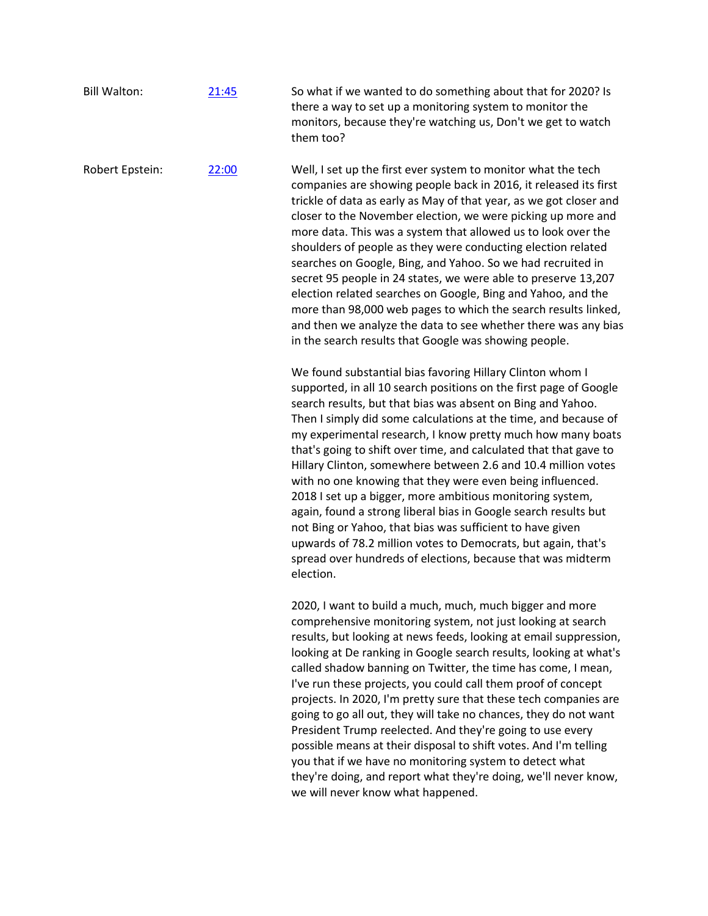| <b>Bill Walton:</b> | 21:45 | So what if we wanted to do something about that for 2020? Is<br>there a way to set up a monitoring system to monitor the<br>monitors, because they're watching us, Don't we get to watch<br>them too?                                                                                                                                                                                                                                                                                                                                                                                                                                                                                                                                                                                                                                                                        |
|---------------------|-------|------------------------------------------------------------------------------------------------------------------------------------------------------------------------------------------------------------------------------------------------------------------------------------------------------------------------------------------------------------------------------------------------------------------------------------------------------------------------------------------------------------------------------------------------------------------------------------------------------------------------------------------------------------------------------------------------------------------------------------------------------------------------------------------------------------------------------------------------------------------------------|
| Robert Epstein:     | 22:00 | Well, I set up the first ever system to monitor what the tech<br>companies are showing people back in 2016, it released its first<br>trickle of data as early as May of that year, as we got closer and<br>closer to the November election, we were picking up more and<br>more data. This was a system that allowed us to look over the<br>shoulders of people as they were conducting election related<br>searches on Google, Bing, and Yahoo. So we had recruited in<br>secret 95 people in 24 states, we were able to preserve 13,207<br>election related searches on Google, Bing and Yahoo, and the<br>more than 98,000 web pages to which the search results linked,<br>and then we analyze the data to see whether there was any bias<br>in the search results that Google was showing people.                                                                       |
|                     |       | We found substantial bias favoring Hillary Clinton whom I<br>supported, in all 10 search positions on the first page of Google<br>search results, but that bias was absent on Bing and Yahoo.<br>Then I simply did some calculations at the time, and because of<br>my experimental research, I know pretty much how many boats<br>that's going to shift over time, and calculated that that gave to<br>Hillary Clinton, somewhere between 2.6 and 10.4 million votes<br>with no one knowing that they were even being influenced.<br>2018 I set up a bigger, more ambitious monitoring system,<br>again, found a strong liberal bias in Google search results but<br>not Bing or Yahoo, that bias was sufficient to have given<br>upwards of 78.2 million votes to Democrats, but again, that's<br>spread over hundreds of elections, because that was midterm<br>election. |
|                     |       | 2020, I want to build a much, much, much bigger and more<br>comprehensive monitoring system, not just looking at search<br>results, but looking at news feeds, looking at email suppression,                                                                                                                                                                                                                                                                                                                                                                                                                                                                                                                                                                                                                                                                                 |

looking at De ranking in Google search results, looking at what's called shadow banning on Twitter, the time has come, I mean, I've run these projects, you could call them proof of concept projects. In 2020, I'm pretty sure that these tech companies are going to go all out, they will take no chances, they do not want President Trump reelected. And they're going to use every possible means at their disposal to shift votes. And I'm telling you that if we have no monitoring system to detect what they're doing, and report what they're doing, we'll never know, we will never know what happened.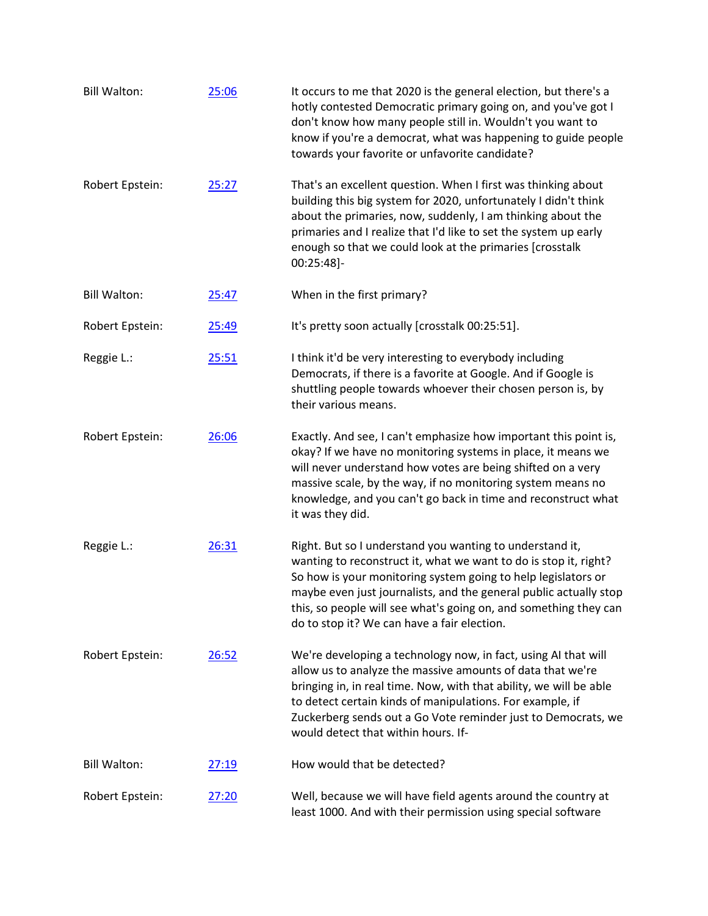| <b>Bill Walton:</b> | 25:06        | It occurs to me that 2020 is the general election, but there's a<br>hotly contested Democratic primary going on, and you've got I<br>don't know how many people still in. Wouldn't you want to<br>know if you're a democrat, what was happening to guide people<br>towards your favorite or unfavorite candidate?                                                                     |
|---------------------|--------------|---------------------------------------------------------------------------------------------------------------------------------------------------------------------------------------------------------------------------------------------------------------------------------------------------------------------------------------------------------------------------------------|
| Robert Epstein:     | 25:27        | That's an excellent question. When I first was thinking about<br>building this big system for 2020, unfortunately I didn't think<br>about the primaries, now, suddenly, I am thinking about the<br>primaries and I realize that I'd like to set the system up early<br>enough so that we could look at the primaries [crosstalk<br>00:25:48]-                                         |
| <b>Bill Walton:</b> | 25:47        | When in the first primary?                                                                                                                                                                                                                                                                                                                                                            |
| Robert Epstein:     | 25:49        | It's pretty soon actually [crosstalk 00:25:51].                                                                                                                                                                                                                                                                                                                                       |
| Reggie L.:          | 25:51        | I think it'd be very interesting to everybody including<br>Democrats, if there is a favorite at Google. And if Google is<br>shuttling people towards whoever their chosen person is, by<br>their various means.                                                                                                                                                                       |
| Robert Epstein:     | 26:06        | Exactly. And see, I can't emphasize how important this point is,<br>okay? If we have no monitoring systems in place, it means we<br>will never understand how votes are being shifted on a very<br>massive scale, by the way, if no monitoring system means no<br>knowledge, and you can't go back in time and reconstruct what<br>it was they did.                                   |
| Reggie L.:          | 26:31        | Right. But so I understand you wanting to understand it,<br>wanting to reconstruct it, what we want to do is stop it, right?<br>So how is your monitoring system going to help legislators or<br>maybe even just journalists, and the general public actually stop<br>this, so people will see what's going on, and something they can<br>do to stop it? We can have a fair election. |
| Robert Epstein:     | 26:52        | We're developing a technology now, in fact, using AI that will<br>allow us to analyze the massive amounts of data that we're<br>bringing in, in real time. Now, with that ability, we will be able<br>to detect certain kinds of manipulations. For example, if<br>Zuckerberg sends out a Go Vote reminder just to Democrats, we<br>would detect that within hours. If-               |
| <b>Bill Walton:</b> | 27:19        | How would that be detected?                                                                                                                                                                                                                                                                                                                                                           |
| Robert Epstein:     | <u>27:20</u> | Well, because we will have field agents around the country at<br>least 1000. And with their permission using special software                                                                                                                                                                                                                                                         |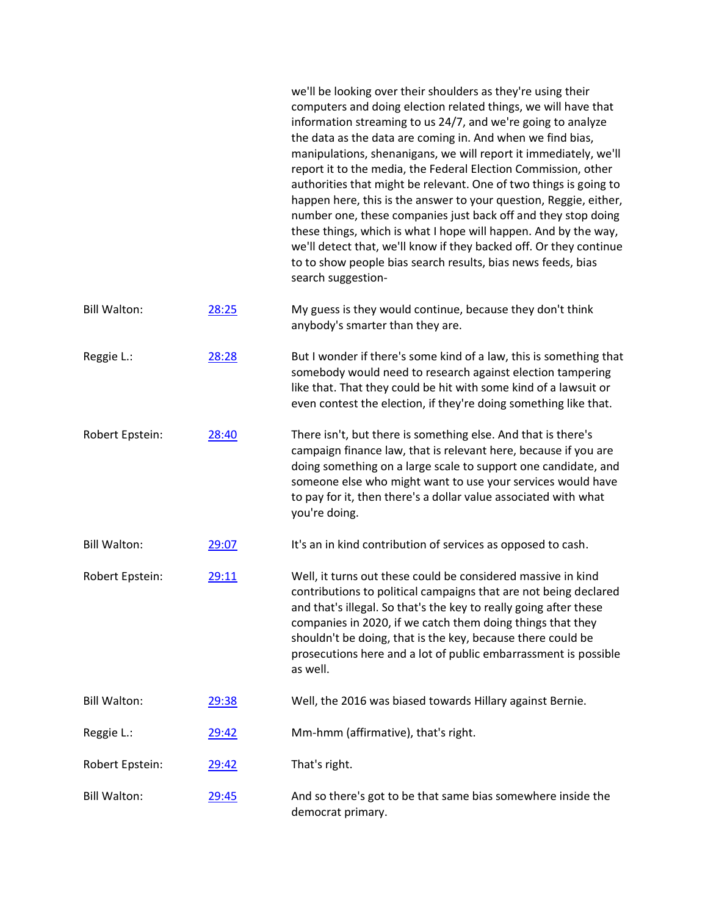|                     |              | we'll be looking over their shoulders as they're using their<br>computers and doing election related things, we will have that<br>information streaming to us 24/7, and we're going to analyze<br>the data as the data are coming in. And when we find bias,<br>manipulations, shenanigans, we will report it immediately, we'll<br>report it to the media, the Federal Election Commission, other<br>authorities that might be relevant. One of two things is going to<br>happen here, this is the answer to your question, Reggie, either,<br>number one, these companies just back off and they stop doing<br>these things, which is what I hope will happen. And by the way,<br>we'll detect that, we'll know if they backed off. Or they continue<br>to to show people bias search results, bias news feeds, bias<br>search suggestion- |
|---------------------|--------------|----------------------------------------------------------------------------------------------------------------------------------------------------------------------------------------------------------------------------------------------------------------------------------------------------------------------------------------------------------------------------------------------------------------------------------------------------------------------------------------------------------------------------------------------------------------------------------------------------------------------------------------------------------------------------------------------------------------------------------------------------------------------------------------------------------------------------------------------|
| <b>Bill Walton:</b> | 28:25        | My guess is they would continue, because they don't think<br>anybody's smarter than they are.                                                                                                                                                                                                                                                                                                                                                                                                                                                                                                                                                                                                                                                                                                                                                |
| Reggie L.:          | 28:28        | But I wonder if there's some kind of a law, this is something that<br>somebody would need to research against election tampering<br>like that. That they could be hit with some kind of a lawsuit or<br>even contest the election, if they're doing something like that.                                                                                                                                                                                                                                                                                                                                                                                                                                                                                                                                                                     |
| Robert Epstein:     | 28:40        | There isn't, but there is something else. And that is there's<br>campaign finance law, that is relevant here, because if you are<br>doing something on a large scale to support one candidate, and<br>someone else who might want to use your services would have<br>to pay for it, then there's a dollar value associated with what<br>you're doing.                                                                                                                                                                                                                                                                                                                                                                                                                                                                                        |
| <b>Bill Walton:</b> | 29:07        | It's an in kind contribution of services as opposed to cash.                                                                                                                                                                                                                                                                                                                                                                                                                                                                                                                                                                                                                                                                                                                                                                                 |
| Robert Epstein:     | <u>29:11</u> | Well, it turns out these could be considered massive in kind<br>contributions to political campaigns that are not being declared<br>and that's illegal. So that's the key to really going after these<br>companies in 2020, if we catch them doing things that they<br>shouldn't be doing, that is the key, because there could be<br>prosecutions here and a lot of public embarrassment is possible<br>as well.                                                                                                                                                                                                                                                                                                                                                                                                                            |
| <b>Bill Walton:</b> | 29:38        | Well, the 2016 was biased towards Hillary against Bernie.                                                                                                                                                                                                                                                                                                                                                                                                                                                                                                                                                                                                                                                                                                                                                                                    |
| Reggie L.:          | 29:42        | Mm-hmm (affirmative), that's right.                                                                                                                                                                                                                                                                                                                                                                                                                                                                                                                                                                                                                                                                                                                                                                                                          |
| Robert Epstein:     | 29:42        | That's right.                                                                                                                                                                                                                                                                                                                                                                                                                                                                                                                                                                                                                                                                                                                                                                                                                                |
| <b>Bill Walton:</b> | 29:45        | And so there's got to be that same bias somewhere inside the<br>democrat primary.                                                                                                                                                                                                                                                                                                                                                                                                                                                                                                                                                                                                                                                                                                                                                            |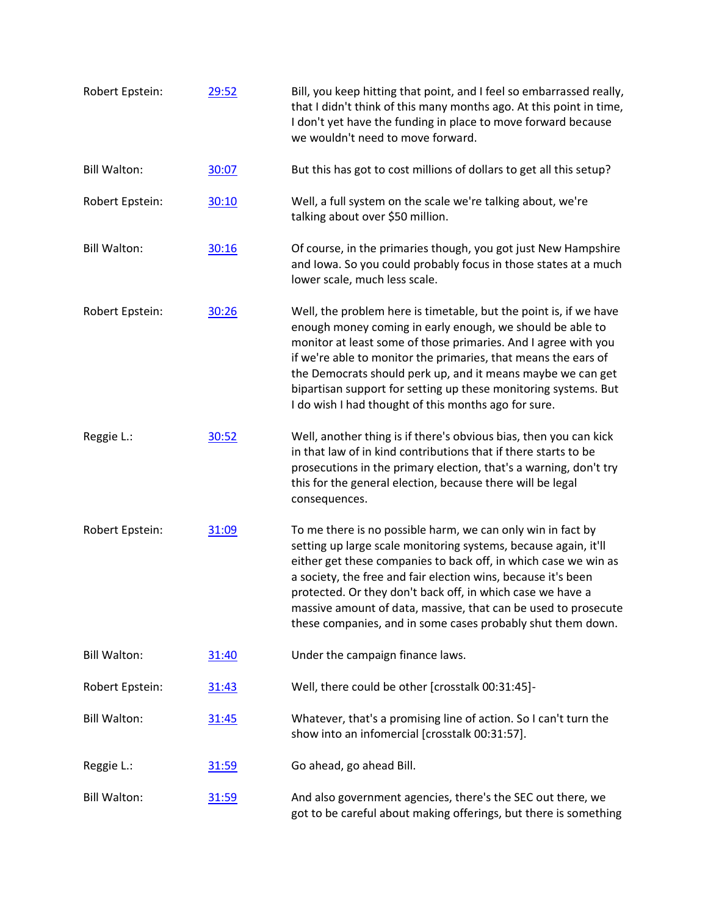| Robert Epstein:     | 29:52 | Bill, you keep hitting that point, and I feel so embarrassed really,<br>that I didn't think of this many months ago. At this point in time,<br>I don't yet have the funding in place to move forward because<br>we wouldn't need to move forward.                                                                                                                                                                                                                 |
|---------------------|-------|-------------------------------------------------------------------------------------------------------------------------------------------------------------------------------------------------------------------------------------------------------------------------------------------------------------------------------------------------------------------------------------------------------------------------------------------------------------------|
| <b>Bill Walton:</b> | 30:07 | But this has got to cost millions of dollars to get all this setup?                                                                                                                                                                                                                                                                                                                                                                                               |
| Robert Epstein:     | 30:10 | Well, a full system on the scale we're talking about, we're<br>talking about over \$50 million.                                                                                                                                                                                                                                                                                                                                                                   |
| <b>Bill Walton:</b> | 30:16 | Of course, in the primaries though, you got just New Hampshire<br>and Iowa. So you could probably focus in those states at a much<br>lower scale, much less scale.                                                                                                                                                                                                                                                                                                |
| Robert Epstein:     | 30:26 | Well, the problem here is timetable, but the point is, if we have<br>enough money coming in early enough, we should be able to<br>monitor at least some of those primaries. And I agree with you<br>if we're able to monitor the primaries, that means the ears of<br>the Democrats should perk up, and it means maybe we can get<br>bipartisan support for setting up these monitoring systems. But<br>I do wish I had thought of this months ago for sure.      |
| Reggie L.:          | 30:52 | Well, another thing is if there's obvious bias, then you can kick<br>in that law of in kind contributions that if there starts to be<br>prosecutions in the primary election, that's a warning, don't try<br>this for the general election, because there will be legal<br>consequences.                                                                                                                                                                          |
| Robert Epstein:     | 31:09 | To me there is no possible harm, we can only win in fact by<br>setting up large scale monitoring systems, because again, it'll<br>either get these companies to back off, in which case we win as<br>a society, the free and fair election wins, because it's been<br>protected. Or they don't back off, in which case we have a<br>massive amount of data, massive, that can be used to prosecute<br>these companies, and in some cases probably shut them down. |
| <b>Bill Walton:</b> | 31:40 | Under the campaign finance laws.                                                                                                                                                                                                                                                                                                                                                                                                                                  |
| Robert Epstein:     | 31:43 | Well, there could be other [crosstalk 00:31:45]-                                                                                                                                                                                                                                                                                                                                                                                                                  |
| <b>Bill Walton:</b> | 31:45 | Whatever, that's a promising line of action. So I can't turn the<br>show into an infomercial [crosstalk 00:31:57].                                                                                                                                                                                                                                                                                                                                                |
| Reggie L.:          | 31:59 | Go ahead, go ahead Bill.                                                                                                                                                                                                                                                                                                                                                                                                                                          |
| <b>Bill Walton:</b> | 31:59 | And also government agencies, there's the SEC out there, we<br>got to be careful about making offerings, but there is something                                                                                                                                                                                                                                                                                                                                   |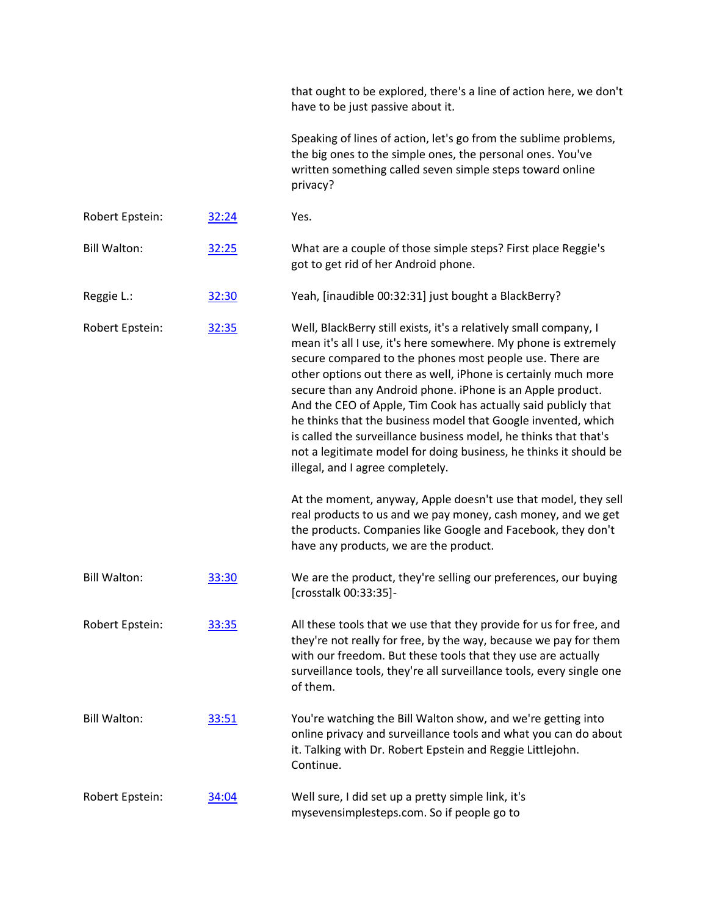|                     |       | that ought to be explored, there's a line of action here, we don't<br>have to be just passive about it.                                                                                                                                                                                                                                                                                                                                                                                                                                                                                                                                          |
|---------------------|-------|--------------------------------------------------------------------------------------------------------------------------------------------------------------------------------------------------------------------------------------------------------------------------------------------------------------------------------------------------------------------------------------------------------------------------------------------------------------------------------------------------------------------------------------------------------------------------------------------------------------------------------------------------|
|                     |       | Speaking of lines of action, let's go from the sublime problems,<br>the big ones to the simple ones, the personal ones. You've<br>written something called seven simple steps toward online<br>privacy?                                                                                                                                                                                                                                                                                                                                                                                                                                          |
| Robert Epstein:     | 32:24 | Yes.                                                                                                                                                                                                                                                                                                                                                                                                                                                                                                                                                                                                                                             |
| <b>Bill Walton:</b> | 32:25 | What are a couple of those simple steps? First place Reggie's<br>got to get rid of her Android phone.                                                                                                                                                                                                                                                                                                                                                                                                                                                                                                                                            |
| Reggie L.:          | 32:30 | Yeah, [inaudible 00:32:31] just bought a BlackBerry?                                                                                                                                                                                                                                                                                                                                                                                                                                                                                                                                                                                             |
| Robert Epstein:     | 32:35 | Well, BlackBerry still exists, it's a relatively small company, I<br>mean it's all I use, it's here somewhere. My phone is extremely<br>secure compared to the phones most people use. There are<br>other options out there as well, iPhone is certainly much more<br>secure than any Android phone. iPhone is an Apple product.<br>And the CEO of Apple, Tim Cook has actually said publicly that<br>he thinks that the business model that Google invented, which<br>is called the surveillance business model, he thinks that that's<br>not a legitimate model for doing business, he thinks it should be<br>illegal, and I agree completely. |
|                     |       | At the moment, anyway, Apple doesn't use that model, they sell<br>real products to us and we pay money, cash money, and we get<br>the products. Companies like Google and Facebook, they don't<br>have any products, we are the product.                                                                                                                                                                                                                                                                                                                                                                                                         |
| <b>Bill Walton:</b> | 33:30 | We are the product, they're selling our preferences, our buying<br>[crosstalk 00:33:35]-                                                                                                                                                                                                                                                                                                                                                                                                                                                                                                                                                         |
| Robert Epstein:     | 33:35 | All these tools that we use that they provide for us for free, and<br>they're not really for free, by the way, because we pay for them<br>with our freedom. But these tools that they use are actually<br>surveillance tools, they're all surveillance tools, every single one<br>of them.                                                                                                                                                                                                                                                                                                                                                       |
| <b>Bill Walton:</b> | 33:51 | You're watching the Bill Walton show, and we're getting into<br>online privacy and surveillance tools and what you can do about<br>it. Talking with Dr. Robert Epstein and Reggie Littlejohn.<br>Continue.                                                                                                                                                                                                                                                                                                                                                                                                                                       |
| Robert Epstein:     | 34:04 | Well sure, I did set up a pretty simple link, it's<br>mysevensimplesteps.com. So if people go to                                                                                                                                                                                                                                                                                                                                                                                                                                                                                                                                                 |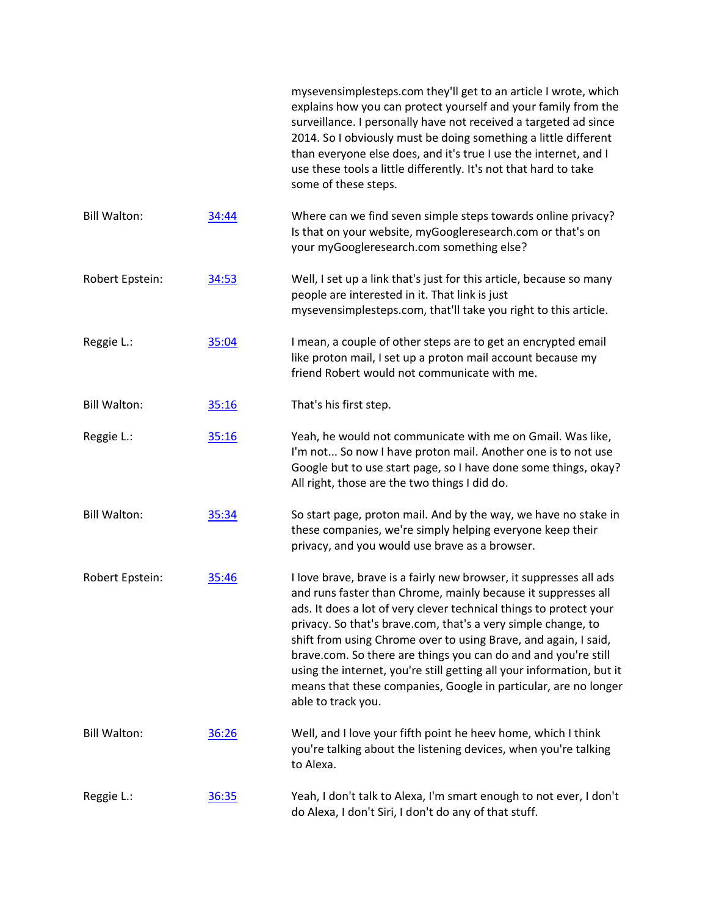|                     |       | mysevensimplesteps.com they'll get to an article I wrote, which<br>explains how you can protect yourself and your family from the<br>surveillance. I personally have not received a targeted ad since<br>2014. So I obviously must be doing something a little different<br>than everyone else does, and it's true I use the internet, and I<br>use these tools a little differently. It's not that hard to take<br>some of these steps.                                                                                                                                          |
|---------------------|-------|-----------------------------------------------------------------------------------------------------------------------------------------------------------------------------------------------------------------------------------------------------------------------------------------------------------------------------------------------------------------------------------------------------------------------------------------------------------------------------------------------------------------------------------------------------------------------------------|
| <b>Bill Walton:</b> | 34:44 | Where can we find seven simple steps towards online privacy?<br>Is that on your website, myGoogleresearch.com or that's on<br>your myGoogleresearch.com something else?                                                                                                                                                                                                                                                                                                                                                                                                           |
| Robert Epstein:     | 34:53 | Well, I set up a link that's just for this article, because so many<br>people are interested in it. That link is just<br>mysevensimplesteps.com, that'll take you right to this article.                                                                                                                                                                                                                                                                                                                                                                                          |
| Reggie L.:          | 35:04 | I mean, a couple of other steps are to get an encrypted email<br>like proton mail, I set up a proton mail account because my<br>friend Robert would not communicate with me.                                                                                                                                                                                                                                                                                                                                                                                                      |
| <b>Bill Walton:</b> | 35:16 | That's his first step.                                                                                                                                                                                                                                                                                                                                                                                                                                                                                                                                                            |
| Reggie L.:          | 35:16 | Yeah, he would not communicate with me on Gmail. Was like,<br>I'm not So now I have proton mail. Another one is to not use<br>Google but to use start page, so I have done some things, okay?<br>All right, those are the two things I did do.                                                                                                                                                                                                                                                                                                                                    |
| <b>Bill Walton:</b> | 35:34 | So start page, proton mail. And by the way, we have no stake in<br>these companies, we're simply helping everyone keep their<br>privacy, and you would use brave as a browser.                                                                                                                                                                                                                                                                                                                                                                                                    |
| Robert Epstein:     | 35:46 | I love brave, brave is a fairly new browser, it suppresses all ads<br>and runs faster than Chrome, mainly because it suppresses all<br>ads. It does a lot of very clever technical things to protect your<br>privacy. So that's brave.com, that's a very simple change, to<br>shift from using Chrome over to using Brave, and again, I said,<br>brave.com. So there are things you can do and and you're still<br>using the internet, you're still getting all your information, but it<br>means that these companies, Google in particular, are no longer<br>able to track you. |
| <b>Bill Walton:</b> | 36:26 | Well, and I love your fifth point he heev home, which I think<br>you're talking about the listening devices, when you're talking<br>to Alexa.                                                                                                                                                                                                                                                                                                                                                                                                                                     |
| Reggie L.:          | 36:35 | Yeah, I don't talk to Alexa, I'm smart enough to not ever, I don't<br>do Alexa, I don't Siri, I don't do any of that stuff.                                                                                                                                                                                                                                                                                                                                                                                                                                                       |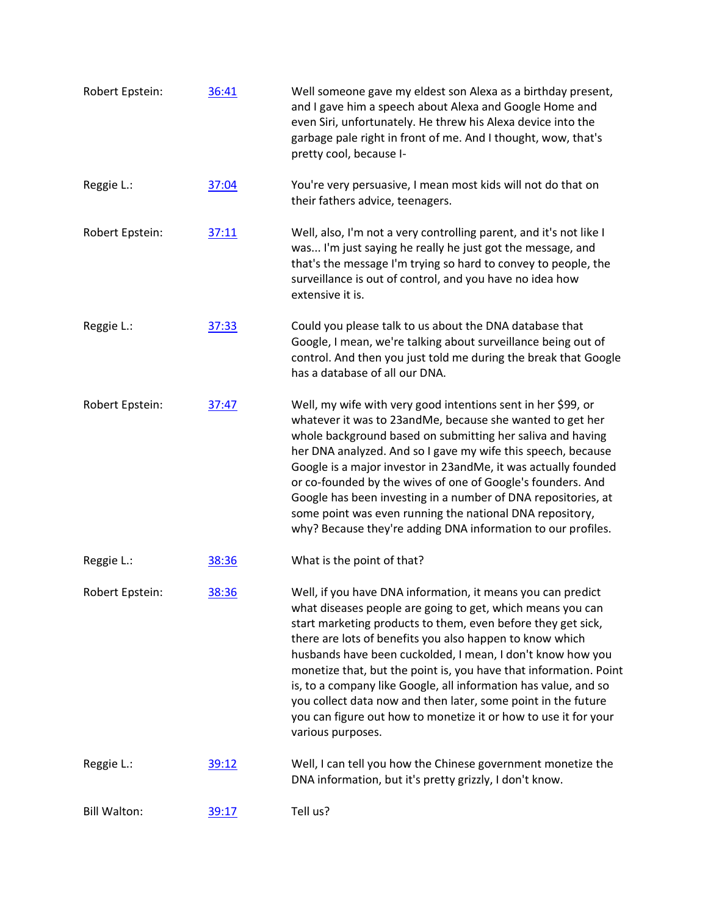| Robert Epstein:     | 36:41 | Well someone gave my eldest son Alexa as a birthday present,<br>and I gave him a speech about Alexa and Google Home and<br>even Siri, unfortunately. He threw his Alexa device into the<br>garbage pale right in front of me. And I thought, wow, that's<br>pretty cool, because I-                                                                                                                                                                                                                                                                                                                                  |
|---------------------|-------|----------------------------------------------------------------------------------------------------------------------------------------------------------------------------------------------------------------------------------------------------------------------------------------------------------------------------------------------------------------------------------------------------------------------------------------------------------------------------------------------------------------------------------------------------------------------------------------------------------------------|
| Reggie L.:          | 37:04 | You're very persuasive, I mean most kids will not do that on<br>their fathers advice, teenagers.                                                                                                                                                                                                                                                                                                                                                                                                                                                                                                                     |
| Robert Epstein:     | 37:11 | Well, also, I'm not a very controlling parent, and it's not like I<br>was I'm just saying he really he just got the message, and<br>that's the message I'm trying so hard to convey to people, the<br>surveillance is out of control, and you have no idea how<br>extensive it is.                                                                                                                                                                                                                                                                                                                                   |
| Reggie L.:          | 37:33 | Could you please talk to us about the DNA database that<br>Google, I mean, we're talking about surveillance being out of<br>control. And then you just told me during the break that Google<br>has a database of all our DNA.                                                                                                                                                                                                                                                                                                                                                                                        |
| Robert Epstein:     | 37:47 | Well, my wife with very good intentions sent in her \$99, or<br>whatever it was to 23andMe, because she wanted to get her<br>whole background based on submitting her saliva and having<br>her DNA analyzed. And so I gave my wife this speech, because<br>Google is a major investor in 23andMe, it was actually founded<br>or co-founded by the wives of one of Google's founders. And<br>Google has been investing in a number of DNA repositories, at<br>some point was even running the national DNA repository,<br>why? Because they're adding DNA information to our profiles.                                |
| Reggie L.:          | 38:36 | What is the point of that?                                                                                                                                                                                                                                                                                                                                                                                                                                                                                                                                                                                           |
| Robert Epstein:     | 38:36 | Well, if you have DNA information, it means you can predict<br>what diseases people are going to get, which means you can<br>start marketing products to them, even before they get sick,<br>there are lots of benefits you also happen to know which<br>husbands have been cuckolded, I mean, I don't know how you<br>monetize that, but the point is, you have that information. Point<br>is, to a company like Google, all information has value, and so<br>you collect data now and then later, some point in the future<br>you can figure out how to monetize it or how to use it for your<br>various purposes. |
| Reggie L.:          | 39:12 | Well, I can tell you how the Chinese government monetize the<br>DNA information, but it's pretty grizzly, I don't know.                                                                                                                                                                                                                                                                                                                                                                                                                                                                                              |
| <b>Bill Walton:</b> | 39:17 | Tell us?                                                                                                                                                                                                                                                                                                                                                                                                                                                                                                                                                                                                             |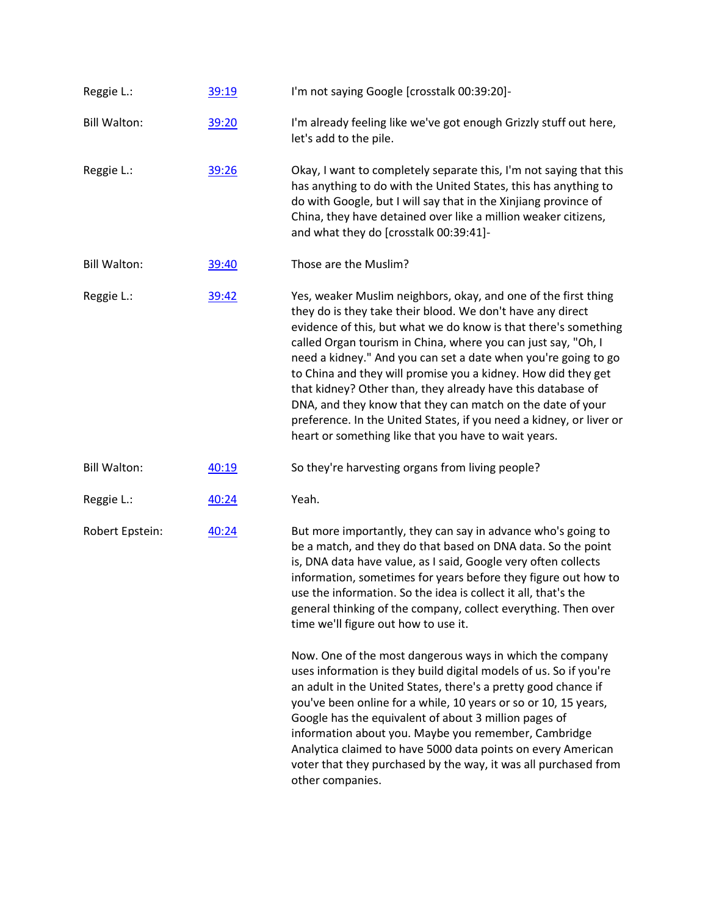| Reggie L.:          | 39:19 | I'm not saying Google [crosstalk 00:39:20]-                                                                                                                                                                                                                                                                                                                                                                                                                                                                                                                                                                                                                     |
|---------------------|-------|-----------------------------------------------------------------------------------------------------------------------------------------------------------------------------------------------------------------------------------------------------------------------------------------------------------------------------------------------------------------------------------------------------------------------------------------------------------------------------------------------------------------------------------------------------------------------------------------------------------------------------------------------------------------|
| <b>Bill Walton:</b> | 39:20 | I'm already feeling like we've got enough Grizzly stuff out here,<br>let's add to the pile.                                                                                                                                                                                                                                                                                                                                                                                                                                                                                                                                                                     |
| Reggie L.:          | 39:26 | Okay, I want to completely separate this, I'm not saying that this<br>has anything to do with the United States, this has anything to<br>do with Google, but I will say that in the Xinjiang province of<br>China, they have detained over like a million weaker citizens,<br>and what they do [crosstalk 00:39:41]-                                                                                                                                                                                                                                                                                                                                            |
| <b>Bill Walton:</b> | 39:40 | Those are the Muslim?                                                                                                                                                                                                                                                                                                                                                                                                                                                                                                                                                                                                                                           |
| Reggie L.:          | 39:42 | Yes, weaker Muslim neighbors, okay, and one of the first thing<br>they do is they take their blood. We don't have any direct<br>evidence of this, but what we do know is that there's something<br>called Organ tourism in China, where you can just say, "Oh, I<br>need a kidney." And you can set a date when you're going to go<br>to China and they will promise you a kidney. How did they get<br>that kidney? Other than, they already have this database of<br>DNA, and they know that they can match on the date of your<br>preference. In the United States, if you need a kidney, or liver or<br>heart or something like that you have to wait years. |
| <b>Bill Walton:</b> | 40:19 | So they're harvesting organs from living people?                                                                                                                                                                                                                                                                                                                                                                                                                                                                                                                                                                                                                |
| Reggie L.:          | 40:24 | Yeah.                                                                                                                                                                                                                                                                                                                                                                                                                                                                                                                                                                                                                                                           |
| Robert Epstein:     | 40:24 | But more importantly, they can say in advance who's going to<br>be a match, and they do that based on DNA data. So the point<br>is, DNA data have value, as I said, Google very often collects<br>information, sometimes for years before they figure out how to<br>use the information. So the idea is collect it all, that's the<br>general thinking of the company, collect everything. Then over<br>time we'll figure out how to use it.                                                                                                                                                                                                                    |
|                     |       | Now. One of the most dangerous ways in which the company<br>uses information is they build digital models of us. So if you're<br>an adult in the United States, there's a pretty good chance if<br>you've been online for a while, 10 years or so or 10, 15 years,<br>Google has the equivalent of about 3 million pages of<br>information about you. Maybe you remember, Cambridge<br>Analytica claimed to have 5000 data points on every American<br>voter that they purchased by the way, it was all purchased from<br>other companies.                                                                                                                      |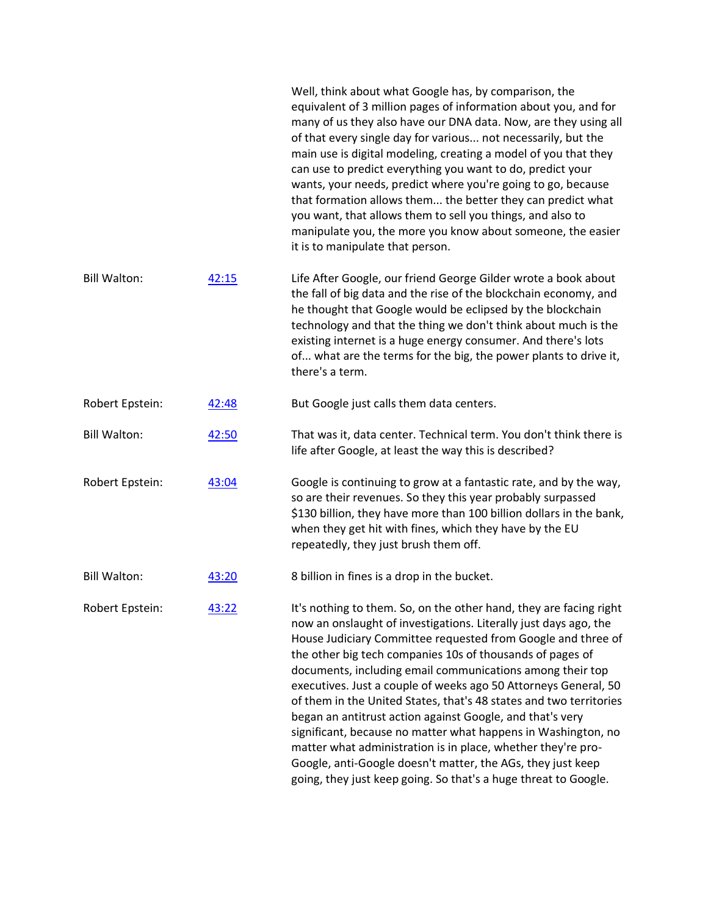|                     |       | Well, think about what Google has, by comparison, the<br>equivalent of 3 million pages of information about you, and for<br>many of us they also have our DNA data. Now, are they using all<br>of that every single day for various not necessarily, but the<br>main use is digital modeling, creating a model of you that they<br>can use to predict everything you want to do, predict your<br>wants, your needs, predict where you're going to go, because<br>that formation allows them the better they can predict what<br>you want, that allows them to sell you things, and also to<br>manipulate you, the more you know about someone, the easier<br>it is to manipulate that person.                                                                                                             |
|---------------------|-------|-----------------------------------------------------------------------------------------------------------------------------------------------------------------------------------------------------------------------------------------------------------------------------------------------------------------------------------------------------------------------------------------------------------------------------------------------------------------------------------------------------------------------------------------------------------------------------------------------------------------------------------------------------------------------------------------------------------------------------------------------------------------------------------------------------------|
| <b>Bill Walton:</b> | 42:15 | Life After Google, our friend George Gilder wrote a book about<br>the fall of big data and the rise of the blockchain economy, and<br>he thought that Google would be eclipsed by the blockchain<br>technology and that the thing we don't think about much is the<br>existing internet is a huge energy consumer. And there's lots<br>of what are the terms for the big, the power plants to drive it,<br>there's a term.                                                                                                                                                                                                                                                                                                                                                                                |
| Robert Epstein:     | 42:48 | But Google just calls them data centers.                                                                                                                                                                                                                                                                                                                                                                                                                                                                                                                                                                                                                                                                                                                                                                  |
| <b>Bill Walton:</b> | 42:50 | That was it, data center. Technical term. You don't think there is<br>life after Google, at least the way this is described?                                                                                                                                                                                                                                                                                                                                                                                                                                                                                                                                                                                                                                                                              |
| Robert Epstein:     | 43:04 | Google is continuing to grow at a fantastic rate, and by the way,<br>so are their revenues. So they this year probably surpassed<br>\$130 billion, they have more than 100 billion dollars in the bank,<br>when they get hit with fines, which they have by the EU<br>repeatedly, they just brush them off.                                                                                                                                                                                                                                                                                                                                                                                                                                                                                               |
| <b>Bill Walton:</b> | 43:20 | 8 billion in fines is a drop in the bucket.                                                                                                                                                                                                                                                                                                                                                                                                                                                                                                                                                                                                                                                                                                                                                               |
| Robert Epstein:     | 43:22 | It's nothing to them. So, on the other hand, they are facing right<br>now an onslaught of investigations. Literally just days ago, the<br>House Judiciary Committee requested from Google and three of<br>the other big tech companies 10s of thousands of pages of<br>documents, including email communications among their top<br>executives. Just a couple of weeks ago 50 Attorneys General, 50<br>of them in the United States, that's 48 states and two territories<br>began an antitrust action against Google, and that's very<br>significant, because no matter what happens in Washington, no<br>matter what administration is in place, whether they're pro-<br>Google, anti-Google doesn't matter, the AGs, they just keep<br>going, they just keep going. So that's a huge threat to Google. |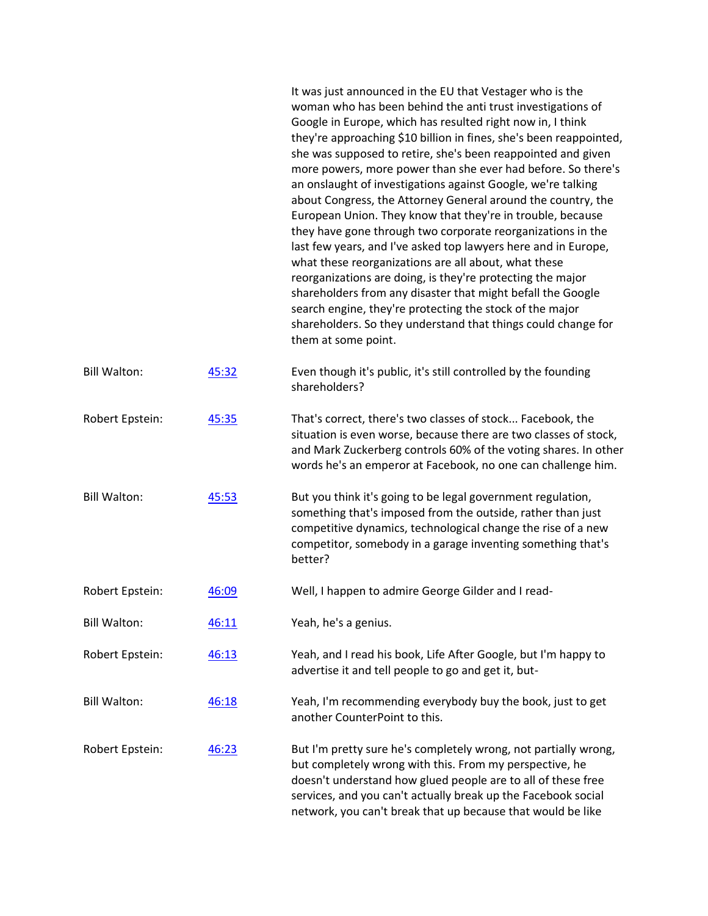|                     |       | It was just announced in the EU that Vestager who is the<br>woman who has been behind the anti trust investigations of<br>Google in Europe, which has resulted right now in, I think<br>they're approaching \$10 billion in fines, she's been reappointed,<br>she was supposed to retire, she's been reappointed and given<br>more powers, more power than she ever had before. So there's<br>an onslaught of investigations against Google, we're talking<br>about Congress, the Attorney General around the country, the<br>European Union. They know that they're in trouble, because<br>they have gone through two corporate reorganizations in the<br>last few years, and I've asked top lawyers here and in Europe,<br>what these reorganizations are all about, what these<br>reorganizations are doing, is they're protecting the major<br>shareholders from any disaster that might befall the Google<br>search engine, they're protecting the stock of the major<br>shareholders. So they understand that things could change for<br>them at some point. |
|---------------------|-------|--------------------------------------------------------------------------------------------------------------------------------------------------------------------------------------------------------------------------------------------------------------------------------------------------------------------------------------------------------------------------------------------------------------------------------------------------------------------------------------------------------------------------------------------------------------------------------------------------------------------------------------------------------------------------------------------------------------------------------------------------------------------------------------------------------------------------------------------------------------------------------------------------------------------------------------------------------------------------------------------------------------------------------------------------------------------|
| <b>Bill Walton:</b> | 45:32 | Even though it's public, it's still controlled by the founding<br>shareholders?                                                                                                                                                                                                                                                                                                                                                                                                                                                                                                                                                                                                                                                                                                                                                                                                                                                                                                                                                                                    |
| Robert Epstein:     | 45:35 | That's correct, there's two classes of stock Facebook, the<br>situation is even worse, because there are two classes of stock,<br>and Mark Zuckerberg controls 60% of the voting shares. In other<br>words he's an emperor at Facebook, no one can challenge him.                                                                                                                                                                                                                                                                                                                                                                                                                                                                                                                                                                                                                                                                                                                                                                                                  |
| <b>Bill Walton:</b> | 45:53 | But you think it's going to be legal government regulation,<br>something that's imposed from the outside, rather than just<br>competitive dynamics, technological change the rise of a new<br>competitor, somebody in a garage inventing something that's<br>better?                                                                                                                                                                                                                                                                                                                                                                                                                                                                                                                                                                                                                                                                                                                                                                                               |
| Robert Epstein:     | 46:09 | Well, I happen to admire George Gilder and I read-                                                                                                                                                                                                                                                                                                                                                                                                                                                                                                                                                                                                                                                                                                                                                                                                                                                                                                                                                                                                                 |
| <b>Bill Walton:</b> | 46:11 | Yeah, he's a genius.                                                                                                                                                                                                                                                                                                                                                                                                                                                                                                                                                                                                                                                                                                                                                                                                                                                                                                                                                                                                                                               |
| Robert Epstein:     | 46:13 | Yeah, and I read his book, Life After Google, but I'm happy to<br>advertise it and tell people to go and get it, but-                                                                                                                                                                                                                                                                                                                                                                                                                                                                                                                                                                                                                                                                                                                                                                                                                                                                                                                                              |
| <b>Bill Walton:</b> | 46:18 | Yeah, I'm recommending everybody buy the book, just to get<br>another CounterPoint to this.                                                                                                                                                                                                                                                                                                                                                                                                                                                                                                                                                                                                                                                                                                                                                                                                                                                                                                                                                                        |
| Robert Epstein:     | 46:23 | But I'm pretty sure he's completely wrong, not partially wrong,<br>but completely wrong with this. From my perspective, he<br>doesn't understand how glued people are to all of these free<br>services, and you can't actually break up the Facebook social<br>network, you can't break that up because that would be like                                                                                                                                                                                                                                                                                                                                                                                                                                                                                                                                                                                                                                                                                                                                         |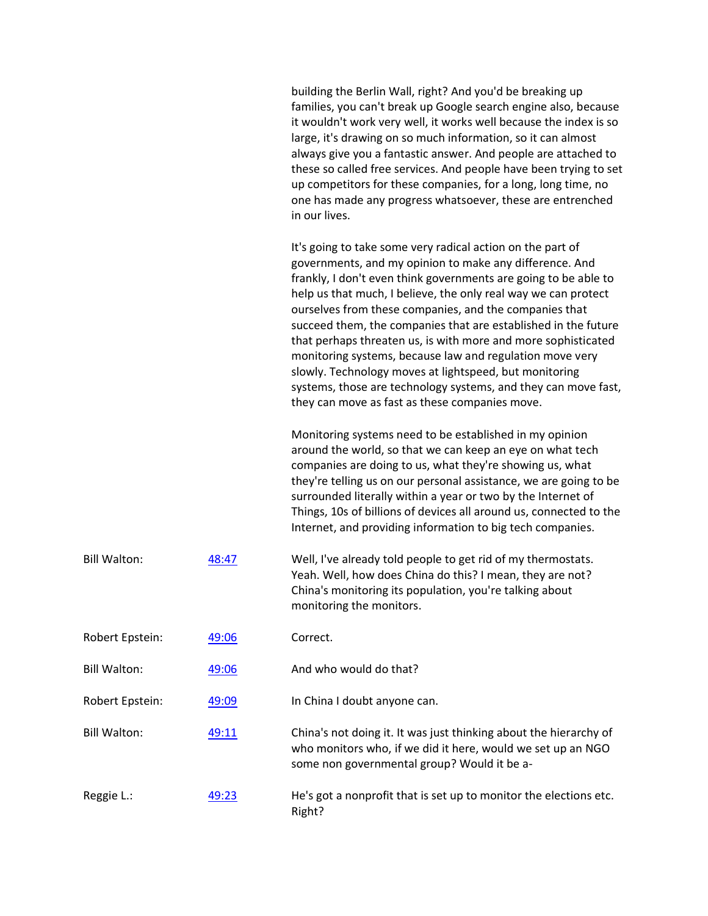|                     |       | building the Berlin Wall, right? And you'd be breaking up<br>families, you can't break up Google search engine also, because<br>it wouldn't work very well, it works well because the index is so<br>large, it's drawing on so much information, so it can almost<br>always give you a fantastic answer. And people are attached to<br>these so called free services. And people have been trying to set<br>up competitors for these companies, for a long, long time, no<br>one has made any progress whatsoever, these are entrenched<br>in our lives.                                                                                                                                          |
|---------------------|-------|---------------------------------------------------------------------------------------------------------------------------------------------------------------------------------------------------------------------------------------------------------------------------------------------------------------------------------------------------------------------------------------------------------------------------------------------------------------------------------------------------------------------------------------------------------------------------------------------------------------------------------------------------------------------------------------------------|
|                     |       | It's going to take some very radical action on the part of<br>governments, and my opinion to make any difference. And<br>frankly, I don't even think governments are going to be able to<br>help us that much, I believe, the only real way we can protect<br>ourselves from these companies, and the companies that<br>succeed them, the companies that are established in the future<br>that perhaps threaten us, is with more and more sophisticated<br>monitoring systems, because law and regulation move very<br>slowly. Technology moves at lightspeed, but monitoring<br>systems, those are technology systems, and they can move fast,<br>they can move as fast as these companies move. |
|                     |       | Monitoring systems need to be established in my opinion<br>around the world, so that we can keep an eye on what tech<br>companies are doing to us, what they're showing us, what<br>they're telling us on our personal assistance, we are going to be<br>surrounded literally within a year or two by the Internet of<br>Things, 10s of billions of devices all around us, connected to the<br>Internet, and providing information to big tech companies.                                                                                                                                                                                                                                         |
| <b>Bill Walton:</b> | 48:47 | Well, I've already told people to get rid of my thermostats.<br>Yeah. Well, how does China do this? I mean, they are not?<br>China's monitoring its population, you're talking about<br>monitoring the monitors.                                                                                                                                                                                                                                                                                                                                                                                                                                                                                  |
| Robert Epstein:     | 49:06 | Correct.                                                                                                                                                                                                                                                                                                                                                                                                                                                                                                                                                                                                                                                                                          |
| <b>Bill Walton:</b> | 49:06 | And who would do that?                                                                                                                                                                                                                                                                                                                                                                                                                                                                                                                                                                                                                                                                            |
| Robert Epstein:     | 49:09 | In China I doubt anyone can.                                                                                                                                                                                                                                                                                                                                                                                                                                                                                                                                                                                                                                                                      |
| <b>Bill Walton:</b> | 49:11 | China's not doing it. It was just thinking about the hierarchy of<br>who monitors who, if we did it here, would we set up an NGO<br>some non governmental group? Would it be a-                                                                                                                                                                                                                                                                                                                                                                                                                                                                                                                   |
| Reggie L.:          | 49:23 | He's got a nonprofit that is set up to monitor the elections etc.<br>Right?                                                                                                                                                                                                                                                                                                                                                                                                                                                                                                                                                                                                                       |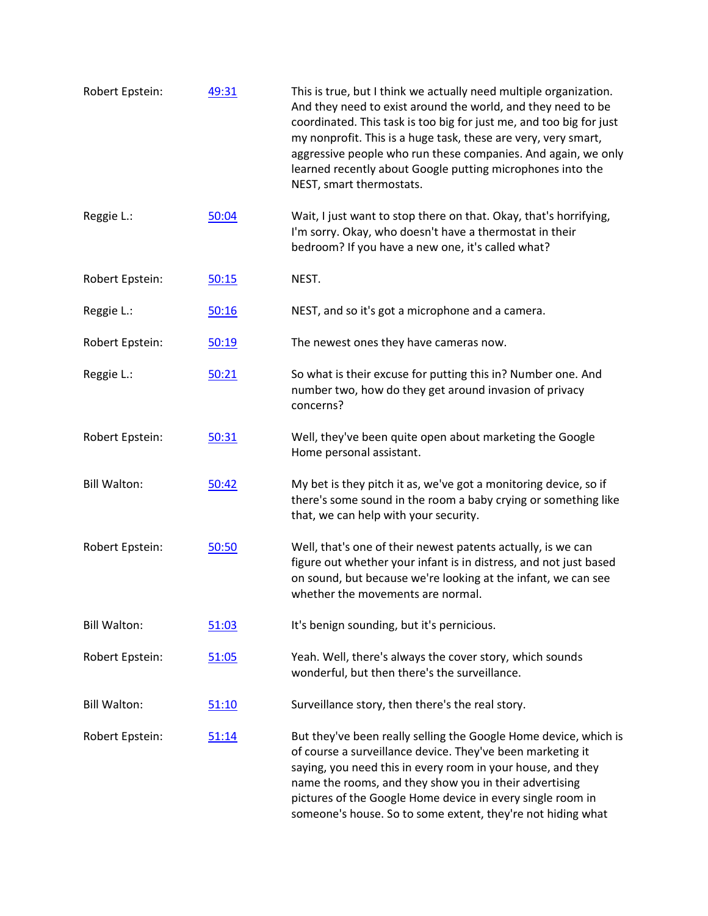| Robert Epstein:     | 49:31        | This is true, but I think we actually need multiple organization.<br>And they need to exist around the world, and they need to be<br>coordinated. This task is too big for just me, and too big for just<br>my nonprofit. This is a huge task, these are very, very smart,<br>aggressive people who run these companies. And again, we only<br>learned recently about Google putting microphones into the<br>NEST, smart thermostats. |
|---------------------|--------------|---------------------------------------------------------------------------------------------------------------------------------------------------------------------------------------------------------------------------------------------------------------------------------------------------------------------------------------------------------------------------------------------------------------------------------------|
| Reggie L.:          | 50:04        | Wait, I just want to stop there on that. Okay, that's horrifying,<br>I'm sorry. Okay, who doesn't have a thermostat in their<br>bedroom? If you have a new one, it's called what?                                                                                                                                                                                                                                                     |
| Robert Epstein:     | 50:15        | NEST.                                                                                                                                                                                                                                                                                                                                                                                                                                 |
| Reggie L.:          | 50:16        | NEST, and so it's got a microphone and a camera.                                                                                                                                                                                                                                                                                                                                                                                      |
| Robert Epstein:     | 50:19        | The newest ones they have cameras now.                                                                                                                                                                                                                                                                                                                                                                                                |
| Reggie L.:          | 50:21        | So what is their excuse for putting this in? Number one. And<br>number two, how do they get around invasion of privacy<br>concerns?                                                                                                                                                                                                                                                                                                   |
| Robert Epstein:     | 50:31        | Well, they've been quite open about marketing the Google<br>Home personal assistant.                                                                                                                                                                                                                                                                                                                                                  |
| <b>Bill Walton:</b> | 50:42        | My bet is they pitch it as, we've got a monitoring device, so if<br>there's some sound in the room a baby crying or something like<br>that, we can help with your security.                                                                                                                                                                                                                                                           |
| Robert Epstein:     | 50:50        | Well, that's one of their newest patents actually, is we can<br>figure out whether your infant is in distress, and not just based<br>on sound, but because we're looking at the infant, we can see<br>whether the movements are normal.                                                                                                                                                                                               |
| <b>Bill Walton:</b> | 51:03        | It's benign sounding, but it's pernicious.                                                                                                                                                                                                                                                                                                                                                                                            |
| Robert Epstein:     | 51:05        | Yeah. Well, there's always the cover story, which sounds<br>wonderful, but then there's the surveillance.                                                                                                                                                                                                                                                                                                                             |
| <b>Bill Walton:</b> | <u>51:10</u> | Surveillance story, then there's the real story.                                                                                                                                                                                                                                                                                                                                                                                      |
| Robert Epstein:     | 51:14        | But they've been really selling the Google Home device, which is<br>of course a surveillance device. They've been marketing it<br>saying, you need this in every room in your house, and they<br>name the rooms, and they show you in their advertising<br>pictures of the Google Home device in every single room in<br>someone's house. So to some extent, they're not hiding what                                                  |